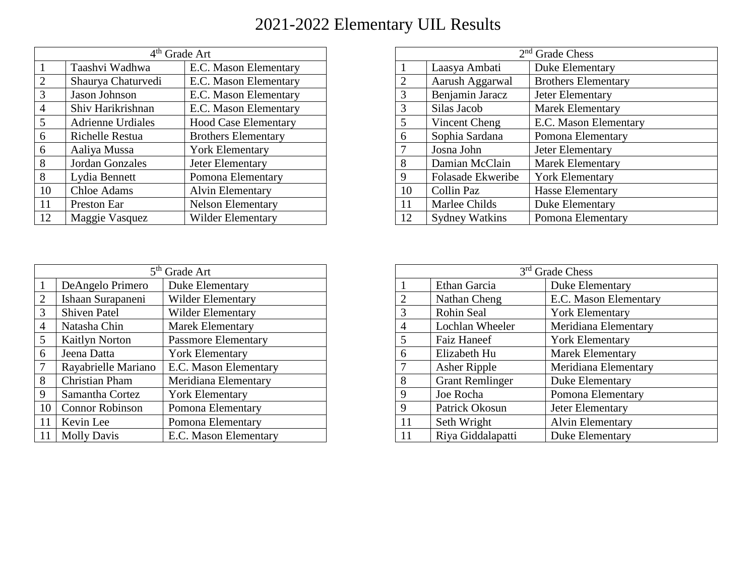| 4 <sup>th</sup> Grade Art |                          |                             |
|---------------------------|--------------------------|-----------------------------|
|                           | Taashvi Wadhwa           | E.C. Mason Elementary       |
| $\overline{2}$            | Shaurya Chaturvedi       | E.C. Mason Elementary       |
| 3                         | Jason Johnson            | E.C. Mason Elementary       |
| $\overline{4}$            | Shiv Harikrishnan        | E.C. Mason Elementary       |
| 5                         | <b>Adrienne Urdiales</b> | <b>Hood Case Elementary</b> |
| 6                         | <b>Richelle Restua</b>   | <b>Brothers Elementary</b>  |
| 6                         | Aaliya Mussa             | <b>York Elementary</b>      |
| 8                         | Jordan Gonzales          | Jeter Elementary            |
| 8                         | Lydia Bennett            | Pomona Elementary           |
| 10                        | <b>Chloe Adams</b>       | <b>Alvin Elementary</b>     |
| 11                        | Preston Ear              | <b>Nelson Elementary</b>    |
| 12                        | Maggie Vasquez           | <b>Wilder Elementary</b>    |

| $2nd$ Grade Chess |                       |                            |  |
|-------------------|-----------------------|----------------------------|--|
| 1                 | Laasya Ambati         | Duke Elementary            |  |
| $\overline{2}$    | Aarush Aggarwal       | <b>Brothers Elementary</b> |  |
| 3                 | Benjamin Jaracz       | Jeter Elementary           |  |
| 3                 | Silas Jacob           | <b>Marek Elementary</b>    |  |
| 5                 | Vincent Cheng         | E.C. Mason Elementary      |  |
| 6                 | Sophia Sardana        | Pomona Elementary          |  |
| 7                 | Josna John            | Jeter Elementary           |  |
| 8                 | Damian McClain        | <b>Marek Elementary</b>    |  |
| 9                 | Folasade Ekweribe     | <b>York Elementary</b>     |  |
| 10                | Collin Paz            | <b>Hasse Elementary</b>    |  |
| 11                | Marlee Childs         | <b>Duke Elementary</b>     |  |
| 12                | <b>Sydney Watkins</b> | Pomona Elementary          |  |

|                | 5 <sup>th</sup> Grade Art |                            |  |
|----------------|---------------------------|----------------------------|--|
|                | DeAngelo Primero          | Duke Elementary            |  |
| $\overline{2}$ | Ishaan Surapaneni         | <b>Wilder Elementary</b>   |  |
| 3              | <b>Shiven Patel</b>       | <b>Wilder Elementary</b>   |  |
| 4              | Natasha Chin              | <b>Marek Elementary</b>    |  |
| 5              | <b>Kaitlyn Norton</b>     | <b>Passmore Elementary</b> |  |
| 6              | Jeena Datta               | <b>York Elementary</b>     |  |
| 7              | Rayabrielle Mariano       | E.C. Mason Elementary      |  |
| 8              | Christian Pham            | Meridiana Elementary       |  |
| 9              | Samantha Cortez           | <b>York Elementary</b>     |  |
| 10             | <b>Connor Robinson</b>    | Pomona Elementary          |  |
| 11             | Kevin Lee                 | Pomona Elementary          |  |
|                | <b>Molly Davis</b>        | E.C. Mason Elementary      |  |

| 3 <sup>rd</sup> Grade Chess |                        |                         |
|-----------------------------|------------------------|-------------------------|
|                             | Ethan Garcia           | Duke Elementary         |
| $\overline{2}$              | Nathan Cheng           | E.C. Mason Elementary   |
| 3                           | Rohin Seal             | <b>York Elementary</b>  |
| 4                           | Lochlan Wheeler        | Meridiana Elementary    |
| 5                           | <b>Faiz Haneef</b>     | <b>York Elementary</b>  |
| 6                           | Elizabeth Hu           | <b>Marek Elementary</b> |
| $\tau$                      | Asher Ripple           | Meridiana Elementary    |
| 8                           | <b>Grant Remlinger</b> | Duke Elementary         |
| 9                           | Joe Rocha              | Pomona Elementary       |
| 9                           | Patrick Okosun         | Jeter Elementary        |
| 11                          | Seth Wright            | <b>Alvin Elementary</b> |
| 11                          | Riya Giddalapatti      | <b>Duke Elementary</b>  |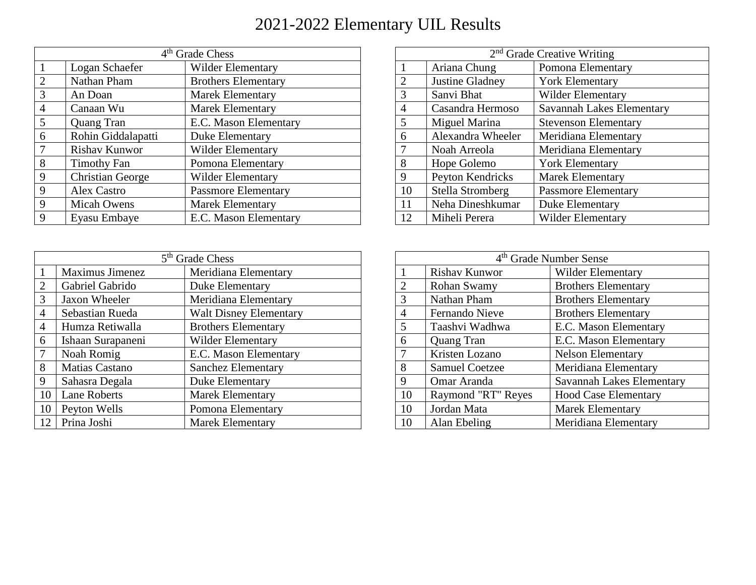| 4 <sup>th</sup> Grade Chess |                         |                            |
|-----------------------------|-------------------------|----------------------------|
|                             | Logan Schaefer          | <b>Wilder Elementary</b>   |
| $\overline{2}$              | Nathan Pham             | <b>Brothers Elementary</b> |
| 3                           | An Doan                 | <b>Marek Elementary</b>    |
| $\overline{4}$              | Canaan Wu               | <b>Marek Elementary</b>    |
| 5                           | Quang Tran              | E.C. Mason Elementary      |
| 6                           | Rohin Giddalapatti      | Duke Elementary            |
| 7                           | <b>Rishav Kunwor</b>    | <b>Wilder Elementary</b>   |
| 8                           | <b>Timothy Fan</b>      | Pomona Elementary          |
| 9                           | <b>Christian George</b> | <b>Wilder Elementary</b>   |
| 9                           | Alex Castro             | <b>Passmore Elementary</b> |
| 9                           | <b>Micah Owens</b>      | <b>Marek Elementary</b>    |
| 9                           | Eyasu Embaye            | E.C. Mason Elementary      |

| 5 <sup>th</sup> Grade Chess |                       |                               |
|-----------------------------|-----------------------|-------------------------------|
|                             | Maximus Jimenez       | Meridiana Elementary          |
| $\mathcal{D}_{\cdot}$       | Gabriel Gabrido       | Duke Elementary               |
| 3                           | Jaxon Wheeler         | Meridiana Elementary          |
| $\overline{4}$              | Sebastian Rueda       | <b>Walt Disney Elementary</b> |
| $\overline{4}$              | Humza Retiwalla       | <b>Brothers Elementary</b>    |
| 6                           | Ishaan Surapaneni     | <b>Wilder Elementary</b>      |
|                             | Noah Romig            | E.C. Mason Elementary         |
| 8                           | <b>Matias Castano</b> | <b>Sanchez Elementary</b>     |
| 9                           | Sahasra Degala        | Duke Elementary               |
| 10                          | Lane Roberts          | <b>Marek Elementary</b>       |
| 10                          | Peyton Wells          | Pomona Elementary             |
| 12                          | Prina Joshi           | <b>Marek Elementary</b>       |

| $2nd$ Grade Creative Writing |                         |                             |
|------------------------------|-------------------------|-----------------------------|
|                              | Ariana Chung            | Pomona Elementary           |
| $\overline{2}$               | Justine Gladney         | <b>York Elementary</b>      |
| 3                            | Sanvi Bhat              | <b>Wilder Elementary</b>    |
| 4                            | Casandra Hermoso        | Savannah Lakes Elementary   |
| 5                            | Miguel Marina           | <b>Stevenson Elementary</b> |
| 6                            | Alexandra Wheeler       | Meridiana Elementary        |
| 7                            | Noah Arreola            | Meridiana Elementary        |
| 8                            | Hope Golemo             | <b>York Elementary</b>      |
| 9                            | Peyton Kendricks        | <b>Marek Elementary</b>     |
| 10                           | <b>Stella Stromberg</b> | <b>Passmore Elementary</b>  |
| 11                           | Neha Dineshkumar        | Duke Elementary             |
| 12                           | Miheli Perera           | <b>Wilder Elementary</b>    |

| 4 <sup>th</sup> Grade Number Sense |                       |                             |
|------------------------------------|-----------------------|-----------------------------|
|                                    | <b>Rishav Kunwor</b>  | <b>Wilder Elementary</b>    |
| $\overline{2}$                     | Rohan Swamy           | <b>Brothers Elementary</b>  |
| 3                                  | Nathan Pham           | <b>Brothers Elementary</b>  |
| 4                                  | Fernando Nieve        | <b>Brothers Elementary</b>  |
| 5                                  | Taashvi Wadhwa        | E.C. Mason Elementary       |
| 6                                  | <b>Quang Tran</b>     | E.C. Mason Elementary       |
| 7                                  | Kristen Lozano        | <b>Nelson Elementary</b>    |
| 8                                  | <b>Samuel Coetzee</b> | Meridiana Elementary        |
| 9                                  | Omar Aranda           | Savannah Lakes Elementary   |
| 10                                 | Raymond "RT" Reyes    | <b>Hood Case Elementary</b> |
| 10                                 | Jordan Mata           | <b>Marek Elementary</b>     |
| 10                                 | Alan Ebeling          | Meridiana Elementary        |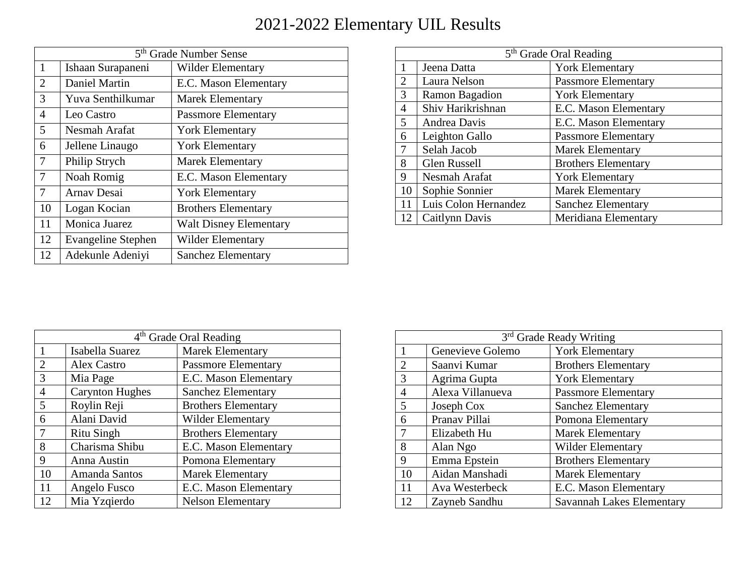| 5 <sup>th</sup> Grade Number Sense |                           |                               |
|------------------------------------|---------------------------|-------------------------------|
| 1                                  | Ishaan Surapaneni         | Wilder Elementary             |
| $\overline{2}$                     | Daniel Martin             | E.C. Mason Elementary         |
| 3                                  | Yuva Senthilkumar         | <b>Marek Elementary</b>       |
| 4                                  | Leo Castro                | <b>Passmore Elementary</b>    |
| 5                                  | Nesmah Arafat             | <b>York Elementary</b>        |
| 6                                  | Jellene Linaugo           | <b>York Elementary</b>        |
| 7                                  | Philip Strych             | <b>Marek Elementary</b>       |
| 7                                  | Noah Romig                | E.C. Mason Elementary         |
| $\overline{7}$                     | <b>Arnav Desai</b>        | <b>York Elementary</b>        |
| 10                                 | Logan Kocian              | <b>Brothers Elementary</b>    |
| 11                                 | Monica Juarez             | <b>Walt Disney Elementary</b> |
| 12                                 | <b>Evangeline Stephen</b> | <b>Wilder Elementary</b>      |
| 12                                 | Adekunle Adeniyi          | <b>Sanchez Elementary</b>     |

| 5 <sup>th</sup> Grade Oral Reading |                      |                            |
|------------------------------------|----------------------|----------------------------|
|                                    | Jeena Datta          | <b>York Elementary</b>     |
| $\mathcal{D}_{\cdot}$              | Laura Nelson         | <b>Passmore Elementary</b> |
| 3                                  | Ramon Bagadion       | <b>York Elementary</b>     |
| 4                                  | Shiv Harikrishnan    | E.C. Mason Elementary      |
| 5                                  | Andrea Davis         | E.C. Mason Elementary      |
| 6                                  | Leighton Gallo       | <b>Passmore Elementary</b> |
| 7                                  | Selah Jacob          | <b>Marek Elementary</b>    |
| 8                                  | <b>Glen Russell</b>  | <b>Brothers Elementary</b> |
| 9                                  | Nesmah Arafat        | <b>York Elementary</b>     |
| 10                                 | Sophie Sonnier       | <b>Marek Elementary</b>    |
|                                    | Luis Colon Hernandez | <b>Sanchez Elementary</b>  |
| 12                                 | Caitlynn Davis       | Meridiana Elementary       |

| 4 <sup>th</sup> Grade Oral Reading |                        |                            |
|------------------------------------|------------------------|----------------------------|
|                                    | Isabella Suarez        | <b>Marek Elementary</b>    |
| $\overline{2}$                     | Alex Castro            | <b>Passmore Elementary</b> |
| 3                                  | Mia Page               | E.C. Mason Elementary      |
| 4                                  | <b>Carynton Hughes</b> | <b>Sanchez Elementary</b>  |
| 5                                  | Roylin Reji            | <b>Brothers Elementary</b> |
| 6                                  | Alani David            | <b>Wilder Elementary</b>   |
|                                    | <b>Ritu Singh</b>      | <b>Brothers Elementary</b> |
| 8                                  | Charisma Shibu         | E.C. Mason Elementary      |
| 9                                  | Anna Austin            | Pomona Elementary          |
| 10                                 | Amanda Santos          | <b>Marek Elementary</b>    |
| 11                                 | Angelo Fusco           | E.C. Mason Elementary      |
| 12                                 | Mia Yzgierdo           | <b>Nelson Elementary</b>   |

| 3 <sup>rd</sup> Grade Ready Writing |                  |                                  |
|-------------------------------------|------------------|----------------------------------|
|                                     | Genevieve Golemo | <b>York Elementary</b>           |
| $\overline{2}$                      | Saanvi Kumar     | <b>Brothers Elementary</b>       |
| 3                                   | Agrima Gupta     | <b>York Elementary</b>           |
| $\overline{4}$                      | Alexa Villanueva | <b>Passmore Elementary</b>       |
| 5                                   | Joseph Cox       | <b>Sanchez Elementary</b>        |
| 6                                   | Pranav Pillai    | Pomona Elementary                |
| 7                                   | Elizabeth Hu     | <b>Marek Elementary</b>          |
| 8                                   | Alan Ngo         | Wilder Elementary                |
| 9                                   | Emma Epstein     | <b>Brothers Elementary</b>       |
| 10                                  | Aidan Manshadi   | <b>Marek Elementary</b>          |
| 11                                  | Ava Westerbeck   | E.C. Mason Elementary            |
| 12                                  | Zayneb Sandhu    | <b>Savannah Lakes Elementary</b> |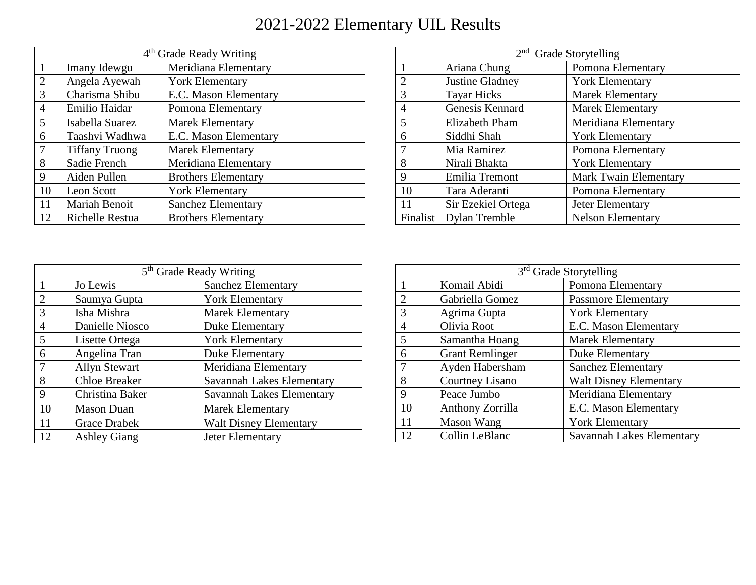| 4 <sup>th</sup> Grade Ready Writing |                       |                            |  |
|-------------------------------------|-----------------------|----------------------------|--|
| 1                                   | Imany Idewgu          | Meridiana Elementary       |  |
| $\overline{2}$                      | Angela Ayewah         | <b>York Elementary</b>     |  |
| 3                                   | Charisma Shibu        | E.C. Mason Elementary      |  |
| 4                                   | Emilio Haidar         | Pomona Elementary          |  |
| 5                                   | Isabella Suarez       | <b>Marek Elementary</b>    |  |
| 6                                   | Taashvi Wadhwa        | E.C. Mason Elementary      |  |
| 7                                   | <b>Tiffany Truong</b> | <b>Marek Elementary</b>    |  |
| 8                                   | Sadie French          | Meridiana Elementary       |  |
| 9                                   | Aiden Pullen          | <b>Brothers Elementary</b> |  |
| 10                                  | Leon Scott            | <b>York Elementary</b>     |  |
| 11                                  | Mariah Benoit         | <b>Sanchez Elementary</b>  |  |
| 12                                  | Richelle Restua       | <b>Brothers Elementary</b> |  |

| $2nd$ Grade Storytelling |                    |                              |
|--------------------------|--------------------|------------------------------|
|                          | Ariana Chung       | Pomona Elementary            |
| $\overline{2}$           | Justine Gladney    | <b>York Elementary</b>       |
| 3                        | <b>Tayar Hicks</b> | <b>Marek Elementary</b>      |
| $\overline{4}$           | Genesis Kennard    | <b>Marek Elementary</b>      |
| 5                        | Elizabeth Pham     | Meridiana Elementary         |
| 6                        | Siddhi Shah        | <b>York Elementary</b>       |
| 7                        | Mia Ramirez        | Pomona Elementary            |
| 8                        | Nirali Bhakta      | <b>York Elementary</b>       |
| 9                        | Emilia Tremont     | <b>Mark Twain Elementary</b> |
| 10                       | Tara Aderanti      | Pomona Elementary            |
| 11                       | Sir Ezekiel Ortega | Jeter Elementary             |
| Finalist                 | Dylan Tremble      | <b>Nelson Elementary</b>     |

| 5 <sup>th</sup> Grade Ready Writing |                      |                                  |
|-------------------------------------|----------------------|----------------------------------|
|                                     | Jo Lewis             | <b>Sanchez Elementary</b>        |
| $\overline{2}$                      | Saumya Gupta         | <b>York Elementary</b>           |
| 3                                   | Isha Mishra          | <b>Marek Elementary</b>          |
| 4                                   | Danielle Niosco      | Duke Elementary                  |
| 5                                   | Lisette Ortega       | <b>York Elementary</b>           |
| 6                                   | Angelina Tran        | Duke Elementary                  |
| 7                                   | <b>Allyn Stewart</b> | Meridiana Elementary             |
| 8                                   | <b>Chloe Breaker</b> | <b>Savannah Lakes Elementary</b> |
| 9                                   | Christina Baker      | <b>Savannah Lakes Elementary</b> |
| 10                                  | <b>Mason Duan</b>    | <b>Marek Elementary</b>          |
| 11                                  | <b>Grace Drabek</b>  | <b>Walt Disney Elementary</b>    |
| 12                                  | <b>Ashley Giang</b>  | Jeter Elementary                 |

| 3 <sup>rd</sup> Grade Storytelling |                        |                                  |
|------------------------------------|------------------------|----------------------------------|
|                                    | Komail Abidi           | Pomona Elementary                |
| $\mathcal{D}_{\mathcal{L}}$        | Gabriella Gomez        | <b>Passmore Elementary</b>       |
| 3                                  | Agrima Gupta           | <b>York Elementary</b>           |
| $\overline{4}$                     | Olivia Root            | E.C. Mason Elementary            |
| 5                                  | Samantha Hoang         | <b>Marek Elementary</b>          |
| 6                                  | <b>Grant Remlinger</b> | Duke Elementary                  |
|                                    | Ayden Habersham        | <b>Sanchez Elementary</b>        |
| 8                                  | Courtney Lisano        | <b>Walt Disney Elementary</b>    |
| 9                                  | Peace Jumbo            | Meridiana Elementary             |
| 10                                 | Anthony Zorrilla       | E.C. Mason Elementary            |
| 11                                 | Mason Wang             | <b>York Elementary</b>           |
| 12                                 | Collin LeBlanc         | <b>Savannah Lakes Elementary</b> |